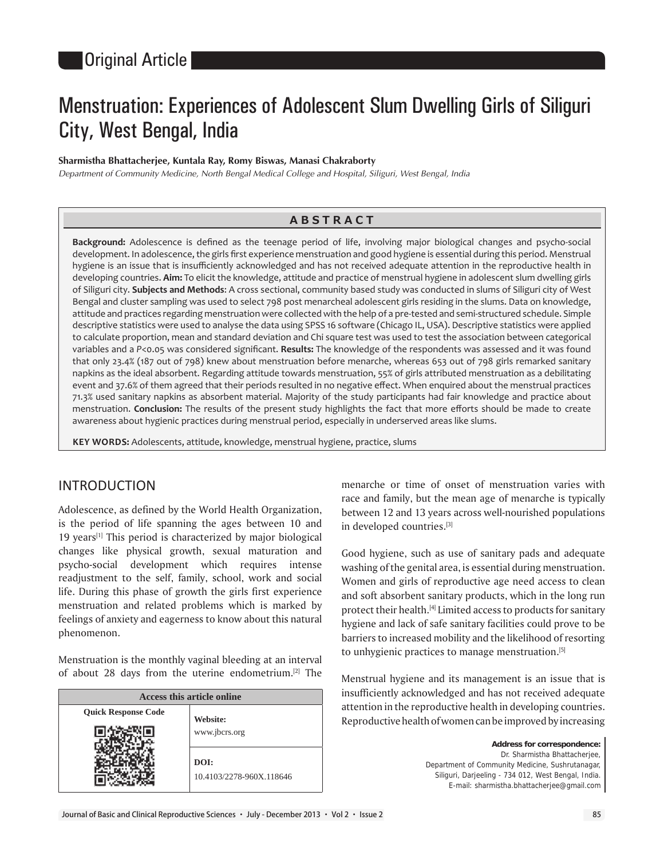# Menstruation: Experiences of Adolescent Slum Dwelling Girls of Siliguri City, West Bengal, India

## **Sharmistha Bhattacherjee, Kuntala Ray, Romy Biswas, Manasi Chakraborty**

*Department of Community Medicine, North Bengal Medical College and Hospital, Siliguri, West Bengal, India*

## **ABSTRACT**

Background: Adolescence is defined as the teenage period of life, involving major biological changes and psycho-social development. In adolescence, the girls first experience menstruation and good hygiene is essential during this period. Menstrual hygiene is an issue that is insufficiently acknowledged and has not received adequate attention in the reproductive health in developing countries. **Aim:** To elicit the knowledge, attitude and practice of menstrual hygiene in adolescent slum dwelling girls of Siliguri city. **Subjects and Methods**: A cross sectional, community based study was conducted in slums of Siliguri city of West Bengal and cluster sampling was used to select 798 post menarcheal adolescent girls residing in the slums. Data on knowledge, attitude and practices regarding menstruation were collected with the help of a pre-tested and semi-structured schedule. Simple descriptive statistics were used to analyse the data using SPSS 16 software (Chicago IL, USA). Descriptive statistics were applied to calculate proportion, mean and standard deviation and Chi square test was used to test the association between categorical variables and a P<0.05 was considered significant. **Results:** The knowledge of the respondents was assessed and it was found that only 23.4% (187 out of 798) knew about menstruation before menarche, whereas 653 out of 798 girls remarked sanitary napkins as the ideal absorbent. Regarding attitude towards menstruation, 55% of girls attributed menstruation as a debilitating event and 37.6% of them agreed that their periods resulted in no negative effect. When enquired about the menstrual practices 71.3% used sanitary napkins as absorbent material. Majority of the study participants had fair knowledge and practice about menstruation. **Conclusion:** The results of the present study highlights the fact that more efforts should be made to create awareness about hygienic practices during menstrual period, especially in underserved areas like slums.

**KEY WORDS:** Adolescents, attitude, knowledge, menstrual hygiene, practice, slums

# INTRODUCTION

Adolescence, as defined by the World Health Organization, is the period of life spanning the ages between 10 and 19 years<sup>[1]</sup> This period is characterized by major biological changes like physical growth, sexual maturation and psycho-social development which requires intense readjustment to the self, family, school, work and social life. During this phase of growth the girls first experience menstruation and related problems which is marked by feelings of anxiety and eagerness to know about this natural phenomenon.

Menstruation is the monthly vaginal bleeding at an interval of about 28 days from the uterine endometrium.<sup>[2]</sup> The

| Access this article online |                          |  |  |  |
|----------------------------|--------------------------|--|--|--|
| <b>Quick Response Code</b> | Website:                 |  |  |  |
|                            | www.jbcrs.org            |  |  |  |
|                            | DOI:                     |  |  |  |
|                            | 10.4103/2278-960X.118646 |  |  |  |

menarche or time of onset of menstruation varies with race and family, but the mean age of menarche is typically between 12 and 13 years across well-nourished populations in developed countries.[3]

Good hygiene, such as use of sanitary pads and adequate washing of the genital area, is essential during menstruation. Women and girls of reproductive age need access to clean and soft absorbent sanitary products, which in the long run protect their health.<sup>[4]</sup> Limited access to products for sanitary hygiene and lack of safe sanitary facilities could prove to be barriers to increased mobility and the likelihood of resorting to unhygienic practices to manage menstruation.[5]

Menstrual hygiene and its management is an issue that is insufficiently acknowledged and has not received adequate attention in the reproductive health in developing countries. Reproductive health of women can be improved by increasing

> **Address for correspondence:** Dr. Sharmistha Bhattacherjee, Department of Community Medicine, Sushrutanagar, Siliguri, Darjeeling - 734 012, West Bengal, India. E-mail: sharmistha.bhattacherjee@gmail.com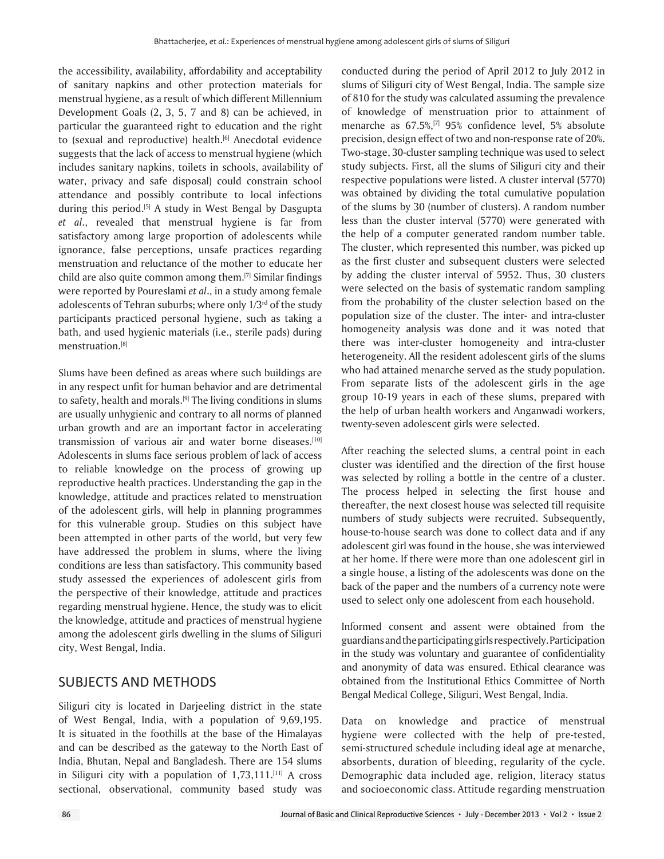the accessibility, availability, affordability and acceptability of sanitary napkins and other protection materials for menstrual hygiene, as a result of which different Millennium Development Goals (2, 3, 5, 7 and 8) can be achieved, in particular the guaranteed right to education and the right to (sexual and reproductive) health.<sup>[6]</sup> Anecdotal evidence suggests that the lack of access to menstrual hygiene (which includes sanitary napkins, toilets in schools, availability of water, privacy and safe disposal) could constrain school attendance and possibly contribute to local infections during this period.[5] A study in West Bengal by Dasgupta *et al*., revealed that menstrual hygiene is far from satisfactory among large proportion of adolescents while ignorance, false perceptions, unsafe practices regarding menstruation and reluctance of the mother to educate her child are also quite common among them.[7] Similar findings were reported by Poureslami *et al*., in a study among female adolescents of Tehran suburbs; where only 1/3rd of the study participants practiced personal hygiene, such as taking a bath, and used hygienic materials (i.e., sterile pads) during menstruation.[8]

Slums have been defined as areas where such buildings are in any respect unfit for human behavior and are detrimental to safety, health and morals.[9] The living conditions in slums are usually unhygienic and contrary to all norms of planned urban growth and are an important factor in accelerating transmission of various air and water borne diseases.[10] Adolescents in slums face serious problem of lack of access to reliable knowledge on the process of growing up reproductive health practices. Understanding the gap in the knowledge, attitude and practices related to menstruation of the adolescent girls, will help in planning programmes for this vulnerable group. Studies on this subject have been attempted in other parts of the world, but very few have addressed the problem in slums, where the living conditions are less than satisfactory. This community based study assessed the experiences of adolescent girls from the perspective of their knowledge, attitude and practices regarding menstrual hygiene. Hence, the study was to elicit the knowledge, attitude and practices of menstrual hygiene among the adolescent girls dwelling in the slums of Siliguri city, West Bengal, India.

# SUBJECTS AND METHODS

Siliguri city is located in Darjeeling district in the state of West Bengal, India, with a population of 9,69,195. It is situated in the foothills at the base of the Himalayas and can be described as the gateway to the North East of India, Bhutan, Nepal and Bangladesh. There are 154 slums in Siliguri city with a population of  $1,73,111$ .<sup>[11]</sup> A cross sectional, observational, community based study was

conducted during the period of April 2012 to July 2012 in slums of Siliguri city of West Bengal, India. The sample size of 810 for the study was calculated assuming the prevalence of knowledge of menstruation prior to attainment of menarche as 67.5%,[7] 95% confidence level, 5% absolute precision, design effect of two and non-response rate of 20%. Two-stage, 30-cluster sampling technique was used to select study subjects. First, all the slums of Siliguri city and their respective populations were listed. A cluster interval (5770) was obtained by dividing the total cumulative population of the slums by 30 (number of clusters). A random number less than the cluster interval (5770) were generated with the help of a computer generated random number table. The cluster, which represented this number, was picked up as the first cluster and subsequent clusters were selected by adding the cluster interval of 5952. Thus, 30 clusters were selected on the basis of systematic random sampling from the probability of the cluster selection based on the population size of the cluster. The inter- and intra-cluster homogeneity analysis was done and it was noted that there was inter-cluster homogeneity and intra-cluster heterogeneity. All the resident adolescent girls of the slums who had attained menarche served as the study population. From separate lists of the adolescent girls in the age group 10-19 years in each of these slums, prepared with the help of urban health workers and Anganwadi workers, twenty-seven adolescent girls were selected.

After reaching the selected slums, a central point in each cluster was identified and the direction of the first house was selected by rolling a bottle in the centre of a cluster. The process helped in selecting the first house and thereafter, the next closest house was selected till requisite numbers of study subjects were recruited. Subsequently, house-to-house search was done to collect data and if any adolescent girl was found in the house, she was interviewed at her home. If there were more than one adolescent girl in a single house, a listing of the adolescents was done on the back of the paper and the numbers of a currency note were used to select only one adolescent from each household.

Informed consent and assent were obtained from the guardians and the participating girls respectively. Participation in the study was voluntary and guarantee of confidentiality and anonymity of data was ensured. Ethical clearance was obtained from the Institutional Ethics Committee of North Bengal Medical College, Siliguri, West Bengal, India.

Data on knowledge and practice of menstrual hygiene were collected with the help of pre-tested, semi-structured schedule including ideal age at menarche, absorbents, duration of bleeding, regularity of the cycle. Demographic data included age, religion, literacy status and socioeconomic class. Attitude regarding menstruation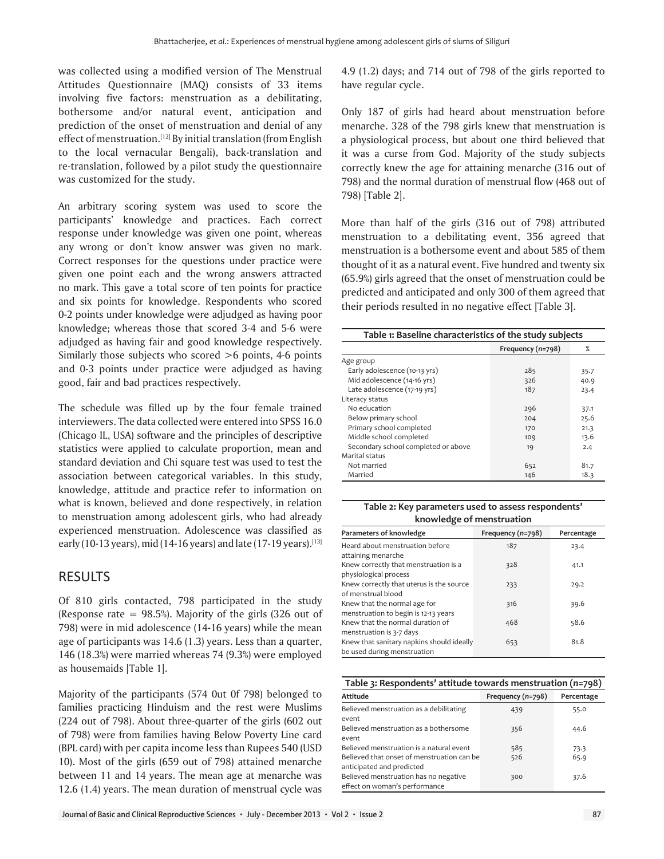was collected using a modified version of The Menstrual Attitudes Questionnaire (MAQ) consists of 33 items involving five factors: menstruation as a debilitating, bothersome and/or natural event, anticipation and prediction of the onset of menstruation and denial of any effect of menstruation.<sup>[12]</sup> By initial translation (from English to the local vernacular Bengali), back-translation and re-translation, followed by a pilot study the questionnaire was customized for the study.

An arbitrary scoring system was used to score the participants' knowledge and practices. Each correct response under knowledge was given one point, whereas any wrong or don't know answer was given no mark. Correct responses for the questions under practice were given one point each and the wrong answers attracted no mark. This gave a total score of ten points for practice and six points for knowledge. Respondents who scored 0-2 points under knowledge were adjudged as having poor knowledge; whereas those that scored 3-4 and 5-6 were adjudged as having fair and good knowledge respectively. Similarly those subjects who scored >6 points, 4-6 points and 0-3 points under practice were adjudged as having good, fair and bad practices respectively.

The schedule was filled up by the four female trained interviewers. The data collected were entered into SPSS 16.0 (Chicago IL, USA) software and the principles of descriptive statistics were applied to calculate proportion, mean and standard deviation and Chi square test was used to test the association between categorical variables. In this study, knowledge, attitude and practice refer to information on what is known, believed and done respectively, in relation to menstruation among adolescent girls, who had already experienced menstruation. Adolescence was classified as early (10-13 years), mid (14-16 years) and late (17-19 years).<sup>[13]</sup>

# RESULTS

Of 810 girls contacted, 798 participated in the study (Response rate =  $98.5%$ ). Majority of the girls (326 out of 798) were in mid adolescence (14-16 years) while the mean age of participants was 14.6 (1.3) years. Less than a quarter, 146 (18.3%) were married whereas 74 (9.3%) were employed as housemaids [Table 1].

Majority of the participants (574 0ut 0f 798) belonged to families practicing Hinduism and the rest were Muslims (224 out of 798). About three-quarter of the girls (602 out of 798) were from families having Below Poverty Line card (BPL card) with per capita income less than Rupees 540 (USD 10). Most of the girls (659 out of 798) attained menarche between 11 and 14 years. The mean age at menarche was 12.6 (1.4) years. The mean duration of menstrual cycle was

4.9 (1.2) days; and 714 out of 798 of the girls reported to have regular cycle.

Only 187 of girls had heard about menstruation before menarche. 328 of the 798 girls knew that menstruation is a physiological process, but about one third believed that it was a curse from God. Majority of the study subjects correctly knew the age for attaining menarche (316 out of 798) and the normal duration of menstrual flow (468 out of 798) [Table 2].

More than half of the girls (316 out of 798) attributed menstruation to a debilitating event, 356 agreed that menstruation is a bothersome event and about 585 of them thought of it as a natural event. Five hundred and twenty six (65.9%) girls agreed that the onset of menstruation could be predicted and anticipated and only 300 of them agreed that their periods resulted in no negative effect [Table 3].

| Table 1: Baseline characteristics of the study subjects |                   |      |  |  |
|---------------------------------------------------------|-------------------|------|--|--|
|                                                         | Frequency (n=798) | $\%$ |  |  |
| Age group                                               |                   |      |  |  |
| Early adolescence (10-13 yrs)                           | 285               | 35.7 |  |  |
| Mid adolescence (14-16 yrs)                             | 326               | 40.9 |  |  |
| Late adolescence (17-19 yrs)                            | 187               | 23.4 |  |  |
| Literacy status                                         |                   |      |  |  |
| No education                                            | 296               | 37.1 |  |  |
| Below primary school                                    | 204               | 25.6 |  |  |
| Primary school completed                                | 170               | 21.3 |  |  |
| Middle school completed                                 | 109               | 13.6 |  |  |
| Secondary school completed or above                     | 19                | 2.4  |  |  |
| Marital status                                          |                   |      |  |  |
| Not married                                             | 652               | 81.7 |  |  |
| Married                                                 | 146               | 18.3 |  |  |

## **Table 2: Key parameters used to assess respondents' knowledge of menstruation**

| Parameters of knowledge                                                  | Frequency (n=798) | Percentage |
|--------------------------------------------------------------------------|-------------------|------------|
| Heard about menstruation before<br>attaining menarche                    | 187               | 23.4       |
| Knew correctly that menstruation is a<br>physiological process           | 328               | 41.1       |
| Knew correctly that uterus is the source<br>of menstrual blood           | 233               | 29.2       |
| Knew that the normal age for                                             | 316               | 39.6       |
| menstruation to begin is 12-13 years<br>Knew that the normal duration of | 468               | 58.6       |
| menstruation is 3-7 days<br>Knew that sanitary napkins should ideally    | 653               | 81.8       |
| be used during menstruation                                              |                   |            |

**Table 3: Respondents' attitude towards menstruation (***n***=798)**

| Attitude                                                                | Frequency (n=798) | Percentage |
|-------------------------------------------------------------------------|-------------------|------------|
| Believed menstruation as a debilitating<br>event                        | 439               | 55.0       |
| Believed menstruation as a bothersome<br>event                          | 356               | 44.6       |
| Believed menstruation is a natural event                                | 585               | 73.3       |
| Believed that onset of menstruation can be<br>anticipated and predicted | 526               | 65.9       |
| Believed menstruation has no negative<br>effect on woman's performance  | 300               | 37.6       |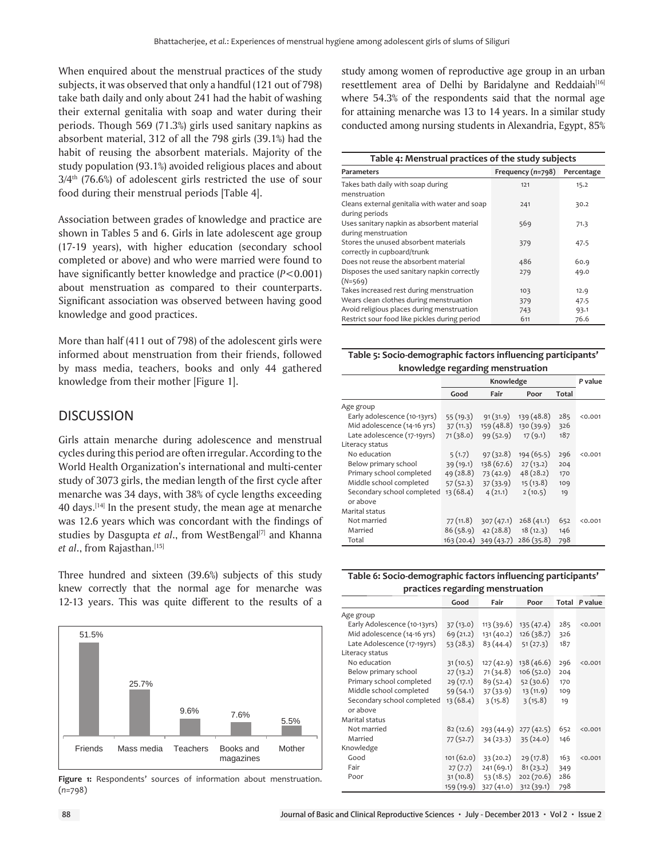When enquired about the menstrual practices of the study subjects, it was observed that only a handful (121 out of 798) take bath daily and only about 241 had the habit of washing their external genitalia with soap and water during their periods. Though 569 (71.3%) girls used sanitary napkins as absorbent material, 312 of all the 798 girls (39.1%) had the habit of reusing the absorbent materials. Majority of the study population (93.1%) avoided religious places and about  $3/4$ <sup>th</sup> (76.6%) of adolescent girls restricted the use of sour food during their menstrual periods [Table 4].

Association between grades of knowledge and practice are shown in Tables 5 and 6. Girls in late adolescent age group (17-19 years), with higher education (secondary school completed or above) and who were married were found to have significantly better knowledge and practice (*P*<0.001) about menstruation as compared to their counterparts. Significant association was observed between having good knowledge and good practices.

More than half (411 out of 798) of the adolescent girls were informed about menstruation from their friends, followed by mass media, teachers, books and only 44 gathered knowledge from their mother [Figure 1].

## **DISCUSSION**

Girls attain menarche during adolescence and menstrual cycles during this period are often irregular. According to the World Health Organization's international and multi-center study of 3073 girls, the median length of the first cycle after menarche was 34 days, with 38% of cycle lengths exceeding 40 days.<sup>[14]</sup> In the present study, the mean age at menarche was 12.6 years which was concordant with the findings of studies by Dasgupta *et al.*, from WestBengal<sup>[7]</sup> and Khanna *et al.*, from Rajasthan.[15]

Three hundred and sixteen (39.6%) subjects of this study knew correctly that the normal age for menarche was 12-13 years. This was quite different to the results of a



Figure 1: Respondents' sources of information about menstruation. (*n*=798)

study among women of reproductive age group in an urban resettlement area of Delhi by Baridalyne and Reddaiah<sup>[16]</sup> where 54.3% of the respondents said that the normal age for attaining menarche was 13 to 14 years. In a similar study conducted among nursing students in Alexandria, Egypt, 85%

| Table 4: Menstrual practices of the study subjects                   |                   |            |  |  |
|----------------------------------------------------------------------|-------------------|------------|--|--|
| Parameters                                                           | Frequency (n=798) | Percentage |  |  |
| Takes bath daily with soap during<br>menstruation                    | 121               | 15.2       |  |  |
| Cleans external genitalia with water and soap<br>during periods      | 241               | 30.2       |  |  |
| Uses sanitary napkin as absorbent material<br>during menstruation    | 569               | 71.3       |  |  |
| Stores the unused absorbent materials<br>correctly in cupboard/trunk | 379               | 47.5       |  |  |
| Does not reuse the absorbent material                                | 486               | 60.9       |  |  |
| Disposes the used sanitary napkin correctly<br>$(N=569)$             | 279               | 49.0       |  |  |
| Takes increased rest during menstruation                             | 103               | 12.9       |  |  |
| Wears clean clothes during menstruation                              | 379               | 47.5       |  |  |
| Avoid religious places during menstruation                           | 743               | 93.1       |  |  |
| Restrict sour food like pickles during period                        | 611               | 76.6       |  |  |

**Table 5: Socio-demographic factors influencing participants' knowledge regarding menstruation**

|                              | Knowledge |            |            | P value |         |
|------------------------------|-----------|------------|------------|---------|---------|
|                              | Good      | Fair       | Poor       | Total   |         |
| Age group                    |           |            |            |         |         |
| Early adolescence (10-13yrs) | 55(19.3)  | 91(31.9)   | 139(48.8)  | 285     | < 0.001 |
| Mid adolescence (14-16 yrs)  | 37(11.3)  | 159(48.8)  | 130 (39.9) | 326     |         |
| Late adolescence (17-19yrs)  | 71(38.0)  | 99(52.9)   | 17(9.1)    | 187     |         |
| Literacy status              |           |            |            |         |         |
| No education                 | 5(1.7)    | 97(32.8)   | 194 (65.5) | 296     | < 0.001 |
| Below primary school         | 39(19.1)  | 138 (67.6) | 27(13.2)   | 204     |         |
| Primary school completed     | 49(28.8)  | 73(42.9)   | 48(28.2)   | 170     |         |
| Middle school completed      | 57(52.3)  | 37(33.9)   | 15(13.8)   | 109     |         |
| Secondary school completed   | 13(68.4)  | 4(21.1)    | 2(10.5)    | 19      |         |
| or above                     |           |            |            |         |         |
| Marital status               |           |            |            |         |         |
| Not married                  | 77(11.8)  | 307(47.1)  | 268(41.1)  | 652     | < 0.001 |
| Married                      | 86(58.9)  | 42(28.8)   | 18(12.3)   | 146     |         |
| Total                        | 163(20.4) | 349 (43.7) | 286(35.8)  | 798     |         |

## **Table 6: Socio-demographic factors influencing participants' practices regarding menstruation**

|                              | Good       | Fair       | Poor       | Total | P value |
|------------------------------|------------|------------|------------|-------|---------|
| Age group                    |            |            |            |       |         |
| Early Adolescence (10-13yrs) | 37(13.0)   | 113 (39.6) | 135(47.4)  | 285   | 0.001   |
| Mid adolescence (14-16 yrs)  | 69 (21.2)  | 131 (40.2) | 126(38.7)  | 326   |         |
| Late Adolescence (17-19yrs)  | 53(28.3)   | 83(44.4)   | 51(27.3)   | 187   |         |
| Literacy status              |            |            |            |       |         |
| No education                 | 31(10.5)   | 127 (42.9) | 138 (46.6) | 296   | 0.001   |
| Below primary school         | 27(13.2)   | 71(34.8)   | 106(52.0)  | 204   |         |
| Primary school completed     | 29(17.1)   | 89(52.4)   | 52(30.6)   | 170   |         |
| Middle school completed      | 59(54.1)   | 37(33.9)   | 13 (11.9)  | 109   |         |
| Secondary school completed   | 13(68.4)   | 3(15.8)    | 3(15.8)    | 19    |         |
| or above                     |            |            |            |       |         |
| Marital status               |            |            |            |       |         |
| Not married                  | 82(12.6)   | 293(44.9)  | 277(42.5)  | 652   | < 0.001 |
| Married                      | 77 (52.7)  | 34(23.3)   | 35(24.0)   | 146   |         |
| Knowledge                    |            |            |            |       |         |
| Good                         | 101(62.0)  | 33(20.2)   | 29 (17.8)  | 163   | 0.001   |
| Fair                         | 27(7.7)    | 241(69.1)  | 81(23.2)   | 349   |         |
| Poor                         | 31(10.8)   | 53(18.5)   | 202(70.6)  | 286   |         |
|                              | 159 (19.9) | 327 (41.0) | 312 (39.1) | 798   |         |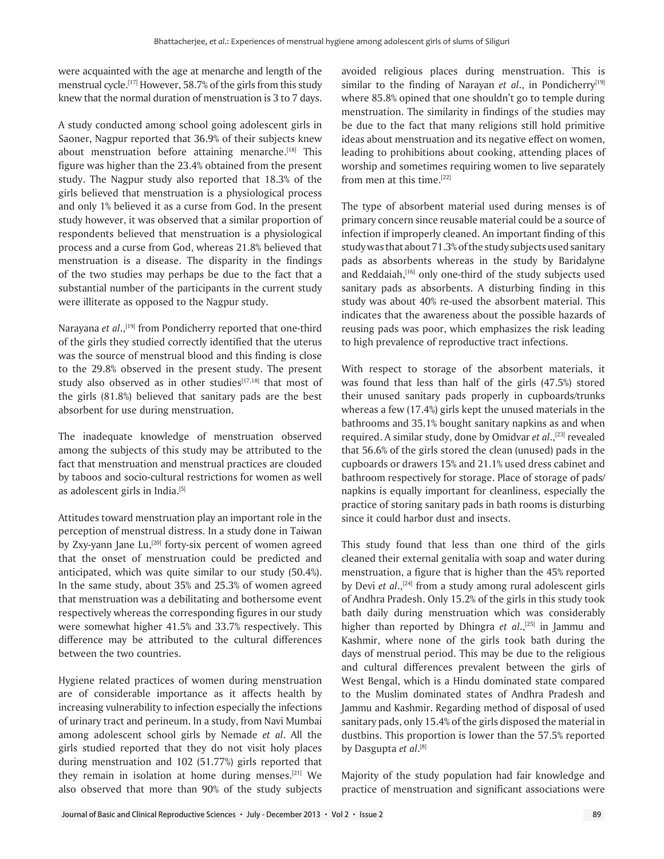were acquainted with the age at menarche and length of the menstrual cycle.<sup>[17]</sup> However, 58.7% of the girls from this study knew that the normal duration of menstruation is 3 to 7 days.

A study conducted among school going adolescent girls in Saoner, Nagpur reported that 36.9% of their subjects knew about menstruation before attaining menarche.<sup>[18]</sup> This figure was higher than the 23.4% obtained from the present study. The Nagpur study also reported that 18.3% of the girls believed that menstruation is a physiological process and only 1% believed it as a curse from God. In the present study however, it was observed that a similar proportion of respondents believed that menstruation is a physiological process and a curse from God, whereas 21.8% believed that menstruation is a disease. The disparity in the findings of the two studies may perhaps be due to the fact that a substantial number of the participants in the current study were illiterate as opposed to the Nagpur study.

Narayana et al.,<sup>[19]</sup> from Pondicherry reported that one-third of the girls they studied correctly identified that the uterus was the source of menstrual blood and this finding is close to the 29.8% observed in the present study. The present study also observed as in other studies[17,18] that most of the girls (81.8%) believed that sanitary pads are the best absorbent for use during menstruation.

The inadequate knowledge of menstruation observed among the subjects of this study may be attributed to the fact that menstruation and menstrual practices are clouded by taboos and socio-cultural restrictions for women as well as adolescent girls in India.[5]

Attitudes toward menstruation play an important role in the perception of menstrual distress. In a study done in Taiwan by Zxy-yann Jane Lu,<sup>[20]</sup> forty-six percent of women agreed that the onset of menstruation could be predicted and anticipated, which was quite similar to our study (50.4%). In the same study, about 35% and 25.3% of women agreed that menstruation was a debilitating and bothersome event respectively whereas the corresponding figures in our study were somewhat higher 41.5% and 33.7% respectively. This difference may be attributed to the cultural differences between the two countries.

Hygiene related practices of women during menstruation are of considerable importance as it affects health by increasing vulnerability to infection especially the infections of urinary tract and perineum. In a study, from Navi Mumbai among adolescent school girls by Nemade *et al*. All the girls studied reported that they do not visit holy places during menstruation and 102 (51.77%) girls reported that they remain in isolation at home during menses.<sup>[21]</sup> We also observed that more than 90% of the study subjects

avoided religious places during menstruation. This is similar to the finding of Narayan *et al.*, in Pondicherry<sup>[19]</sup> where 85.8% opined that one shouldn't go to temple during menstruation. The similarity in findings of the studies may be due to the fact that many religions still hold primitive ideas about menstruation and its negative effect on women, leading to prohibitions about cooking, attending places of worship and sometimes requiring women to live separately from men at this time.[22]

The type of absorbent material used during menses is of primary concern since reusable material could be a source of infection if improperly cleaned. An important finding of this study was that about 71.3% of the study subjects used sanitary pads as absorbents whereas in the study by Baridalyne and Reddaiah, <a>[16]</a> only one-third of the study subjects used sanitary pads as absorbents. A disturbing finding in this study was about 40% re-used the absorbent material. This indicates that the awareness about the possible hazards of reusing pads was poor, which emphasizes the risk leading to high prevalence of reproductive tract infections.

With respect to storage of the absorbent materials, it was found that less than half of the girls (47.5%) stored their unused sanitary pads properly in cupboards/trunks whereas a few (17.4%) girls kept the unused materials in the bathrooms and 35.1% bought sanitary napkins as and when required. A similar study, done by Omidvar *et al.*,<sup>[23]</sup> revealed that 56.6% of the girls stored the clean (unused) pads in the cupboards or drawers 15% and 21.1% used dress cabinet and bathroom respectively for storage. Place of storage of pads/ napkins is equally important for cleanliness, especially the practice of storing sanitary pads in bath rooms is disturbing since it could harbor dust and insects.

This study found that less than one third of the girls cleaned their external genitalia with soap and water during menstruation, a figure that is higher than the 45% reported by Devi *et al.*,<sup>[24]</sup> from a study among rural adolescent girls of Andhra Pradesh. Only 15.2% of the girls in this study took bath daily during menstruation which was considerably higher than reported by Dhingra *et al.*,<sup>[25]</sup> in Jammu and Kashmir, where none of the girls took bath during the days of menstrual period. This may be due to the religious and cultural differences prevalent between the girls of West Bengal, which is a Hindu dominated state compared to the Muslim dominated states of Andhra Pradesh and Jammu and Kashmir. Regarding method of disposal of used sanitary pads, only 15.4% of the girls disposed the material in dustbins. This proportion is lower than the 57.5% reported by Dasgupta et al.<sup>[8]</sup>

Majority of the study population had fair knowledge and practice of menstruation and significant associations were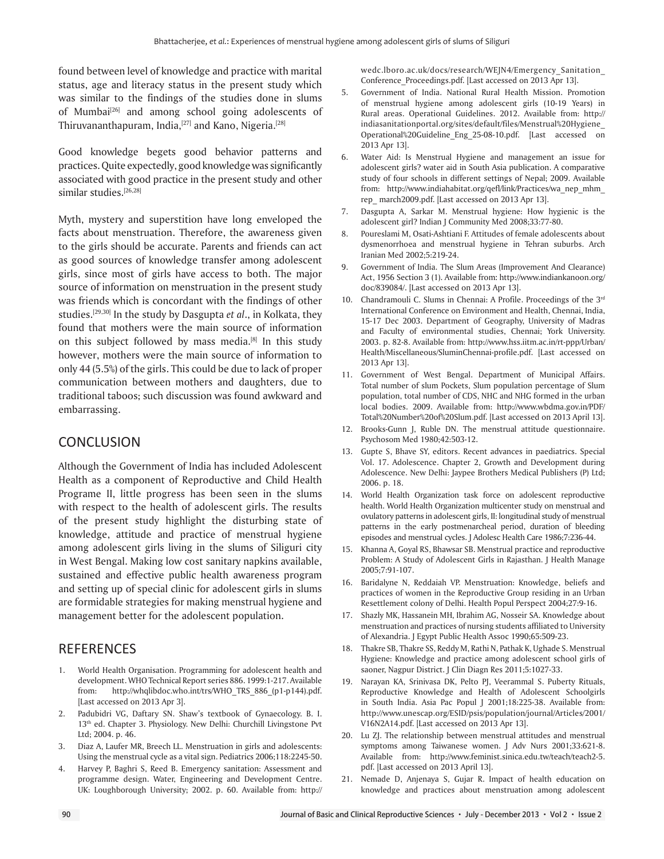found between level of knowledge and practice with marital status, age and literacy status in the present study which was similar to the findings of the studies done in slums of Mumbai<sup>[26]</sup> and among school going adolescents of Thiruvananthapuram, India,<sup>[27]</sup> and Kano, Nigeria.<sup>[28]</sup>

Good knowledge begets good behavior patterns and practices. Quite expectedly, good knowledge was significantly associated with good practice in the present study and other similar studies.[26,28]

Myth, mystery and superstition have long enveloped the facts about menstruation. Therefore, the awareness given to the girls should be accurate. Parents and friends can act as good sources of knowledge transfer among adolescent girls, since most of girls have access to both. The major source of information on menstruation in the present study was friends which is concordant with the findings of other studies.[29,30] In the study by Dasgupta *et al*., in Kolkata, they found that mothers were the main source of information on this subject followed by mass media.[8] In this study however, mothers were the main source of information to only 44 (5.5%) of the girls. This could be due to lack of proper communication between mothers and daughters, due to traditional taboos; such discussion was found awkward and embarrassing.

# **CONCLUSION**

Although the Government of India has included Adolescent Health as a component of Reproductive and Child Health Programe II, little progress has been seen in the slums with respect to the health of adolescent girls. The results of the present study highlight the disturbing state of knowledge, attitude and practice of menstrual hygiene among adolescent girls living in the slums of Siliguri city in West Bengal. Making low cost sanitary napkins available, sustained and effective public health awareness program and setting up of special clinic for adolescent girls in slums are formidable strategies for making menstrual hygiene and management better for the adolescent population.

# **REFERENCES**

- 1. World Health Organisation. Programming for adolescent health and development. WHO Technical Report series 886. 1999:1-217. Available from: http://whqlibdoc.who.int/trs/WHO\_TRS\_886\_(p1-p144).pdf. [Last accessed on 2013 Apr 3].
- 2. Padubidri VG, Daftary SN. Shaw's textbook of Gynaecology. B. I. 13<sup>th</sup> ed. Chapter 3. Physiology. New Delhi: Churchill Livingstone Pvt Ltd; 2004. p. 46.
- 3. Diaz A, Laufer MR, Breech LL. Menstruation in girls and adolescents: Using the menstrual cycle as a vital sign. Pediatrics 2006;118:2245-50.
- 4. Harvey P, Baghri S, Reed B. Emergency sanitation: Assessment and programme design. Water, Engineering and Development Centre. UK: Loughborough University; 2002. p. 60. Available from: http://

wedc.lboro.ac.uk/docs/research/WEJN4/Emergency\_Sanitation\_ Conference\_Proceedings.pdf. [Last accessed on 2013 Apr 13].

- 5. Government of India. National Rural Health Mission. Promotion of menstrual hygiene among adolescent girls (10-19 Years) in Rural areas. Operational Guidelines. 2012. Available from: http:// indiasanitationportal.org/sites/default/files/Menstrual%20Hygiene\_ Operational%20Guideline\_Eng\_25-08-10.pdf. [Last accessed on 2013 Apr 13].
- 6. Water Aid: Is Menstrual Hygiene and management an issue for adolescent girls? water aid in South Asia publication. A comparative study of four schools in different settings of Nepal; 2009. Available from: http://www.indiahabitat.org/qefl/link/Practices/wa\_nep\_mhm\_ rep\_ march2009.pdf. [Last accessed on 2013 Apr 13].
- 7. Dasgupta A, Sarkar M. Menstrual hygiene: How hygienic is the adolescent girl? Indian J Community Med 2008;33:77-80.
- 8. Poureslami M, Osati-Ashtiani F. Attitudes of female adolescents about dysmenorrhoea and menstrual hygiene in Tehran suburbs. Arch Iranian Med 2002;5:219-24.
- 9. Government of India. The Slum Areas (Improvement And Clearance) Act, 1956 Section 3 (1). Available from**:** http://www.indiankanoon.org/ doc/839084/. [Last accessed on 2013 Apr 13].
- 10. Chandramouli C. Slums in Chennai: A Profile. Proceedings of the 3rd International Conference on Environment and Health, Chennai, India, 15-17 Dec 2003. Department of Geography, University of Madras and Faculty of environmental studies, Chennai; York University. 2003. p. 82-8. Available from: http://www.hss.iitm.ac.in/rt-ppp/Urban/ Health/Miscellaneous/SluminChennai-profile.pdf. [Last accessed on 2013 Apr 13].
- 11. Government of West Bengal. Department of Municipal Affairs. Total number of slum Pockets, Slum population percentage of Slum population, total number of CDS, NHC and NHG formed in the urban local bodies. 2009. Available from: http://www.wbdma.gov.in/PDF/ Total%20Number%20of%20Slum.pdf. [Last accessed on 2013 April 13].
- 12. Brooks-Gunn J, Ruble DN. The menstrual attitude questionnaire. Psychosom Med 1980;42:503-12.
- 13. Gupte S, Bhave SY, editors. Recent advances in paediatrics. Special Vol. 17. Adolescence. Chapter 2, Growth and Development during Adolescence. New Delhi: Jaypee Brothers Medical Publishers (P) Ltd; 2006. p. 18.
- 14. World Health Organization task force on adolescent reproductive health. World Health Organization multicenter study on menstrual and ovulatory patterns in adolescent girls, II: longitudinal study of menstrual patterns in the early postmenarcheal period, duration of bleeding episodes and menstrual cycles. J Adolesc Health Care 1986;7:236-44.
- 15. Khanna A, Goyal RS, Bhawsar SB. Menstrual practice and reproductive Problem: A Study of Adolescent Girls in Rajasthan. J Health Manage 2005;7:91-107.
- 16. Baridalyne N, Reddaiah VP. Menstruation: Knowledge, beliefs and practices of women in the Reproductive Group residing in an Urban Resettlement colony of Delhi. Health Popul Perspect 2004;27:9-16.
- 17. Shazly MK, Hassanein MH, Ibrahim AG, Nosseir SA. Knowledge about menstruation and practices of nursing students affiliated to University of Alexandria. J Egypt Public Health Assoc 1990;65:509-23.
- 18. Thakre SB, Thakre SS, Reddy M, Rathi N, Pathak K, Ughade S. Menstrual Hygiene: Knowledge and practice among adolescent school girls of saoner, Nagpur District. J Clin Diagn Res 2011;5:1027-33.
- 19. Narayan KA, Srinivasa DK, Pelto PJ, Veerammal S. Puberty Rituals, Reproductive Knowledge and Health of Adolescent Schoolgirls in South India. Asia Pac Popul J 2001;18:225-38. Available from: http://www.unescap.org/ESID/psis/population/journal/Articles/2001/ V16N2A14.pdf. [Last accessed on 2013 Apr 13].
- 20. Lu ZJ. The relationship between menstrual attitudes and menstrual symptoms among Taiwanese women. J Adv Nurs 2001;33:621-8. Available from: http://www.feminist.sinica.edu.tw/teach/teach2-5. pdf. [Last accessed on 2013 April 13].
- 21. Nemade D, Anjenaya S, Gujar R. Impact of health education on knowledge and practices about menstruation among adolescent